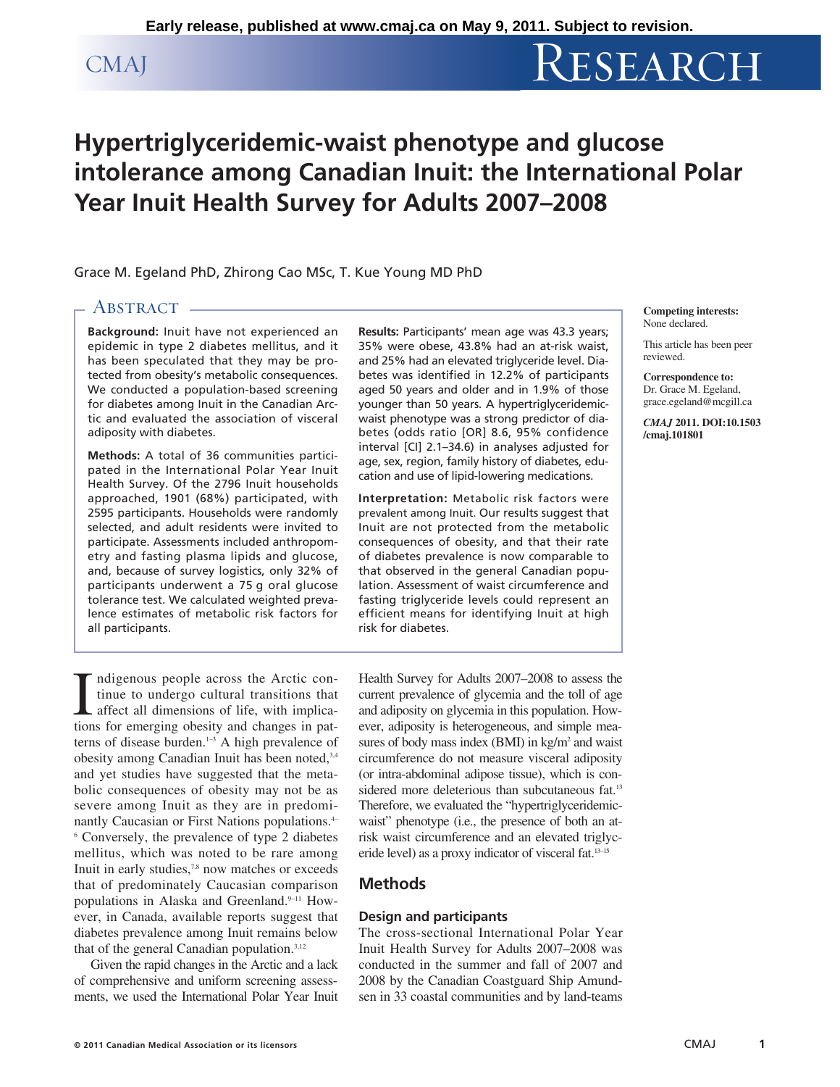# CMAJ RESEARCH

# **Hypertriglyceridemic-waist phenotype and glucose intolerance among Canadian Inuit: the International Polar Year Inuit Health Survey for Adults 2007–2008**

Grace M. Egeland PhD, Zhirong Cao MSc, T. Kue Young MD PhD

# ABSTRACT -

**Background:** Inuit have not experienced an epidemic in type 2 diabetes mellitus, and it has been speculated that they may be protected from obesity's metabolic consequences. We conducted a population-based screening for diabetes among Inuit in the Canadian Arctic and evaluated the association of visceral adiposity with diabetes.

**Methods:** A total of 36 communities participated in the International Polar Year Inuit Health Survey. Of the 2796 Inuit households approached, 1901 (68%) participated, with 2595 participants. Households were randomly selected, and adult residents were invited to participate. Assessments included anthropometry and fasting plasma lipids and glucose, and, because of survey logistics, only 32% of participants underwent a 75 g oral glucose tolerance test. We calculated weighted prevalence estimates of metabolic risk factors for all participants.

**Results:** Participants' mean age was 43.3 years; 35% were obese, 43.8% had an at-risk waist, and 25% had an elevated triglyceride level. Diabetes was identified in 12.2% of participants aged 50 years and older and in 1.9% of those younger than 50 years. A hypertriglyceridemicwaist phenotype was a strong predictor of diabetes (odds ratio [OR] 8.6, 95% confidence interval [CI] 2.1–34.6) in analyses adjusted for age, sex, region, family history of diabetes, education and use of lipid-lowering medications.

**Interpretation:** Metabolic risk factors were prevalent among Inuit. Our results suggest that Inuit are not protected from the metabolic consequences of obesity, and that their rate of diabetes prevalence is now comparable to that observed in the general Canadian population. Assessment of waist circumference and fasting triglyceride levels could represent an efficient means for identifying Inuit at high risk for diabetes.

**Competing interests:** None declared.

This article has been peer reviewed.

**Correspondence to:**  Dr. Grace M. Egeland, grace.egeland@mcgill.ca

*CMAJ* **2011. DOI:10.1503 /cmaj.101801**

Indigenous people across the Arctic continue to undergo cultural transitions that affect all dimensions of life, with implications for emerging obesity and changes in patndigenous people across the Arctic continue to undergo cultural transitions that affect all dimensions of life, with implicaterns of disease burden. $1-3$  A high prevalence of obesity among Canadian Inuit has been noted, 3,4 and yet studies have suggested that the metabolic consequences of obesity may not be as severe among Inuit as they are in predominantly Caucasian or First Nations populations.<sup>4–</sup> <sup>6</sup> Conversely, the prevalence of type 2 diabetes mellitus, which was noted to be rare among Inuit in early studies,<sup>7,8</sup> now matches or exceeds that of predominately Caucasian comparison populations in Alaska and Greenland.<sup>9–11</sup> However, in Canada, available reports suggest that diabetes prevalence among Inuit remains below that of the general Canadian population.3,12

Given the rapid changes in the Arctic and a lack of comprehensive and uniform screening assessments, we used the International Polar Year Inuit Health Survey for Adults 2007–2008 to assess the current prevalence of glycemia and the toll of age and adiposity on glycemia in this population. However, adiposity is heterogeneous, and simple measures of body mass index  $(BMI)$  in kg/m<sup>2</sup> and waist circumference do not measure visceral adiposity (or intra-abdominal adipose tissue), which is considered more deleterious than subcutaneous fat.<sup>13</sup> Therefore, we evaluated the "hypertriglyceridemicwaist" phenotype (i.e., the presence of both an atrisk waist circumference and an elevated triglyceride level) as a proxy indicator of visceral fat.13–15

# **Methods**

# **Design and participants**

The cross-sectional International Polar Year Inuit Health Survey for Adults 2007–2008 was conducted in the summer and fall of 2007 and 2008 by the Canadian Coastguard Ship Amundsen in 33 coastal communities and by land-teams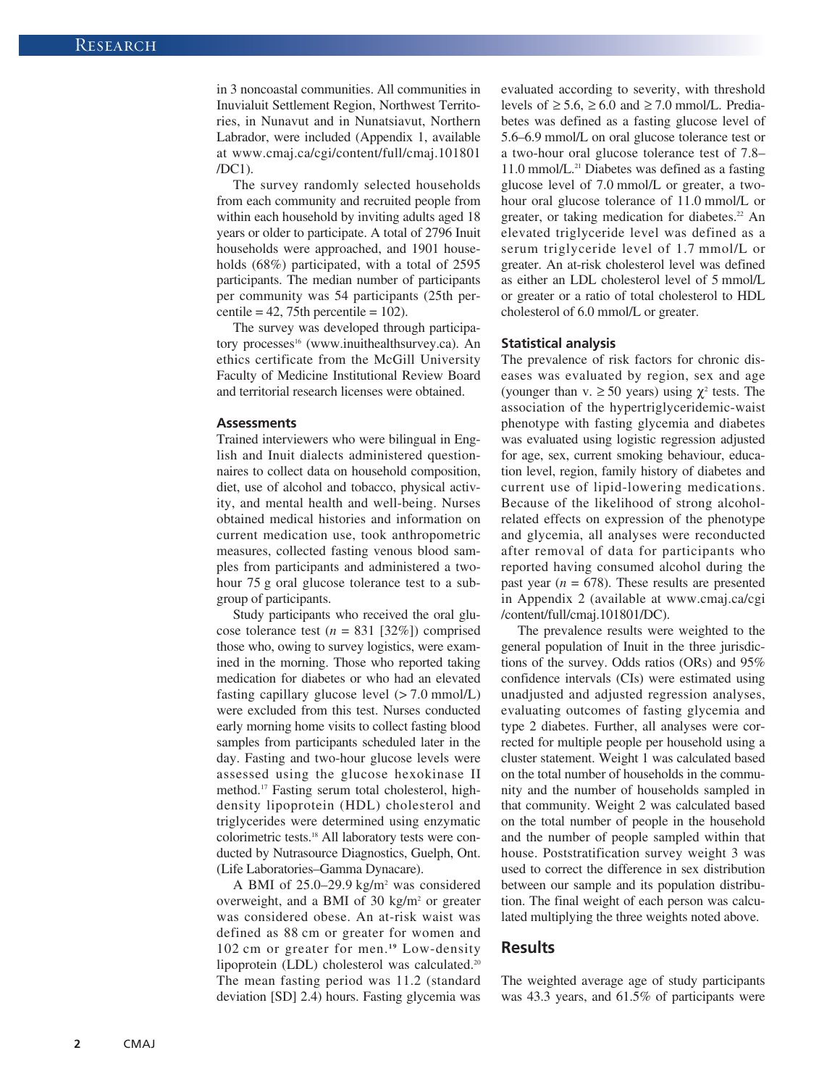in 3 noncoastal communities. All communities in Inuvialuit Settlement Region, Northwest Territories, in Nunavut and in Nunatsiavut, Northern Labrador, were included (Appendix 1, available at www.cmaj.ca/cgi/content/full/cmaj.101801 /DC1).

The survey randomly selected households from each community and recruited people from within each household by inviting adults aged 18 years or older to participate. A total of 2796 Inuit households were approached, and 1901 households (68%) participated, with a total of 2595 participants. The median number of participants per community was 54 participants (25th percentile =  $42$ , 75th percentile =  $102$ ).

The survey was developed through participatory processes<sup>16</sup> (www.inuithealthsurvey.ca). An ethics certificate from the McGill University Faculty of Medicine Institutional Review Board and territorial research licenses were obtained.

#### **Assessments**

Trained interviewers who were bilingual in English and Inuit dialects administered questionnaires to collect data on household composition, diet, use of alcohol and tobacco, physical activity, and mental health and well-being. Nurses obtained medical histories and information on current medication use, took anthropometric measures, collected fasting venous blood samples from participants and administered a twohour 75 g oral glucose tolerance test to a subgroup of participants.

Study participants who received the oral glucose tolerance test  $(n = 831 \, [32\%])$  comprised those who, owing to survey logistics, were examined in the morning. Those who reported taking medication for diabetes or who had an elevated fasting capillary glucose level  $(> 7.0 \text{ mmol/L})$ were excluded from this test. Nurses conducted early morning home visits to collect fasting blood samples from participants scheduled later in the day. Fasting and two-hour glucose levels were assessed using the glucose hexokinase II method.17 Fasting serum total cholesterol, highdensity lipoprotein (HDL) cholesterol and triglycerides were determined using enzymatic colorimetric tests.18 All laboratory tests were conducted by Nutrasource Diagnostics, Guelph, Ont. (Life Laboratories–Gamma Dynacare).

A BMI of 25.0–29.9 kg/m2 was considered overweight, and a BMI of 30 kg/m2 or greater was considered obese. An at-risk waist was defined as 88 cm or greater for women and 102 cm or greater for men.<sup>19</sup> Low-density lipoprotein (LDL) cholesterol was calculated.<sup>20</sup> The mean fasting period was 11.2 (standard deviation [SD] 2.4) hours. Fasting glycemia was evaluated according to severity, with threshold levels of  $\geq 5.6$ ,  $\geq 6.0$  and  $\geq 7.0$  mmol/L. Prediabetes was defined as a fasting glucose level of 5.6–6.9 mmol/L on oral glucose tolerance test or a two-hour oral glucose tolerance test of 7.8– 11.0 mmol/L.21 Diabetes was defined as a fasting glucose level of 7.0 mmol/L or greater, a twohour oral glucose tolerance of 11.0 mmol/L or greater, or taking medication for diabetes.<sup>22</sup> An elevated triglyceride level was defined as a serum triglyceride level of 1.7 mmol/L or greater. An at-risk cholesterol level was defined as either an LDL cholesterol level of 5 mmol/L or greater or a ratio of total cholesterol to HDL cholesterol of 6.0 mmol/L or greater.

#### **Statistical analysis**

The prevalence of risk factors for chronic diseases was evaluated by region, sex and age (younger than v.  $\geq 50$  years) using  $\chi^2$  tests. The association of the hypertriglyceridemic-waist phenotype with fasting glycemia and diabetes was evaluated using logistic regression adjusted for age, sex, current smoking behaviour, education level, region, family history of diabetes and current use of lipid-lowering medications. Because of the likelihood of strong alcoholrelated effects on expression of the phenotype and glycemia, all analyses were reconducted after removal of data for participants who reported having consumed alcohol during the past year  $(n = 678)$ . These results are presented in Appendix 2 (available at www.cmaj.ca/cgi /content/full/cmaj.101801/DC).

The prevalence results were weighted to the general population of Inuit in the three jurisdictions of the survey. Odds ratios (ORs) and 95% confidence intervals (CIs) were estimated using unadjusted and adjusted regression analyses, evaluating outcomes of fasting glycemia and type 2 diabetes. Further, all analyses were corrected for multiple people per household using a cluster statement. Weight 1 was calculated based on the total number of households in the community and the number of households sampled in that community. Weight 2 was calculated based on the total number of people in the household and the number of people sampled within that house. Poststratification survey weight 3 was used to correct the difference in sex distribution between our sample and its population distribution. The final weight of each person was calculated multiplying the three weights noted above.

### **Results**

The weighted average age of study participants was 43.3 years, and 61.5% of participants were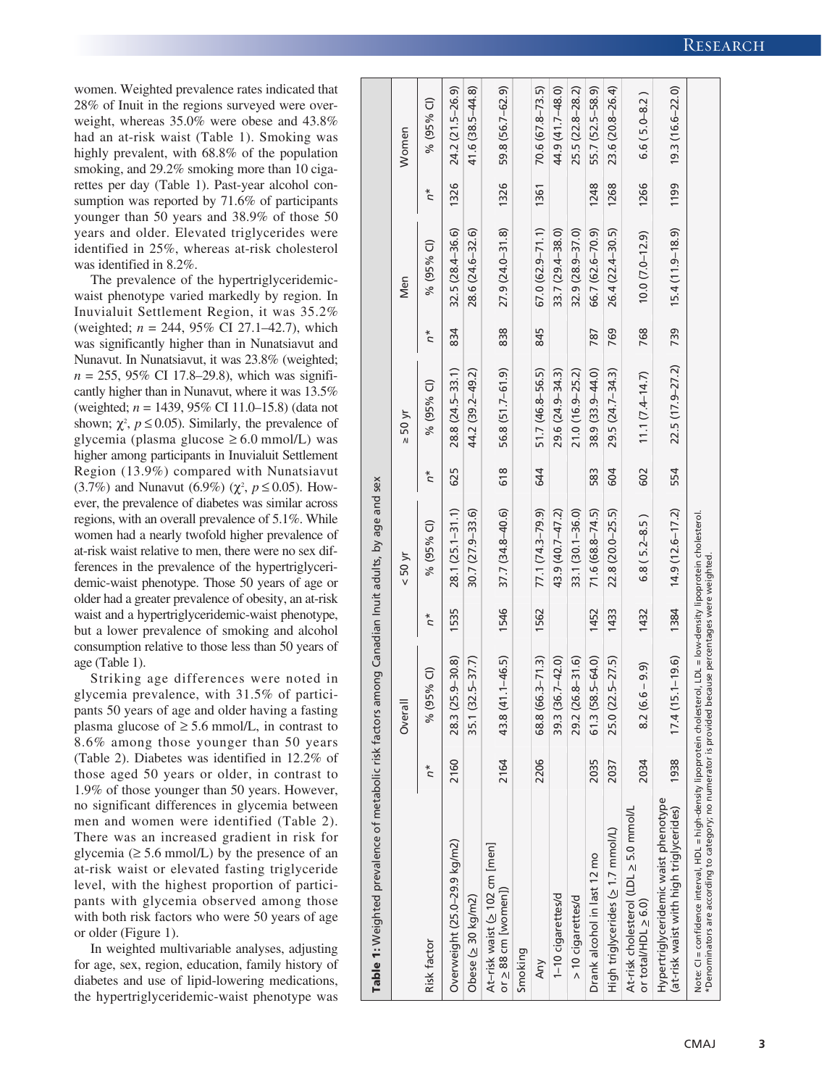women. Weighted prevalence rates indicated that 28% of Inuit in the regions surveyed were overweight, whereas 35.0% were obese and 43.8% had an at-risk waist (Table 1). Smoking was highly prevalent, with 68.8% of the population smoking, and 29.2% smoking more than 10 cigarettes per day (Table 1). Past-year alcohol consumption was reported by 71.6% of participants younger than 50 years and 38.9% of those 50 years and older. Elevated triglycerides were identified in 25%, whereas at-risk cholesterol was identified in 8.2%.

The prevalence of the hypertriglyceridemicwaist phenotype varied markedly by region. In Inuvialuit Settlement Region, it was 35.2% (weighted; *n* = 244, 95% CI 27.1–42.7), which was significantly higher than in Nunatsiavut and Nunavut. In Nunatsiavut, it was 23.8% (weighted; *n* = 255, 95% CI 17.8–29.8), which was significantly higher than in Nunavut, where it was 13.5% (weighted; *n* = 1439, 95% CI 11.0–15.8) (data not shown;  $\chi^2$ ,  $p \le 0.05$ ). Similarly, the prevalence of glycemia (plasma glucose ≥ 6.0 mmol/L) was higher among participants in Inuvialuit Settlement Region (13.9%) compared with Nunatsiavut (3.7%) and Nunavut (6.9%) ( $\chi^2$ ,  $p \le 0.05$ ). However, the prevalence of diabetes was similar across regions, with an overall prevalence of 5.1%. While women had a nearly twofold higher prevalence of at-risk waist relative to men, there were no sex differences in the prevalence of the hypertriglyceridemic-waist phenotype. Those 50 years of age or older had a greater prevalence of obesity, an at-risk waist and a hypertriglyceridemic-waist phenotype, but a lower prevalence of smoking and alcohol consumption relative to those less than 50 years of age (Table 1).

Striking age differences were noted in glycemia prevalence, with 31.5% of participants 50 years of age and older having a fasting plasma glucose of  $\geq 5.6$  mmol/L, in contrast to 8.6% among those younger than 50 years (Table 2). Diabetes was identified in 12.2% of those aged 50 years or older, in contrast to 1.9% of those younger than 50 years. However, no significant differences in glycemia between men and women were identified (Table 2). There was an increased gradient in risk for glycemia  $( \geq 5.6 \text{ mmol/L})$  by the presence of an at-risk waist or elevated fasting triglyceride level, with the highest proportion of participants with glycemia observed among those with both risk factors who were 50 years of age or older (Figure 1).

In weighted multivariable analyses, adjusting for age, sex, region, education, family history of diabetes and use of lipid-lowering medications, the hypertriglyceridemic-waist phenotype was

**Table 1:** Weighted prevalence of metabolic risk factors among Canadian Inuit adults, by age and sex Table 1: Weighted prevalence of metabolic risk factors among Canadian Inuit adults, by age and sex

|                                                                                                                                                                                    |       | Overall                |               | $<$ 50 yr                                 |               | $> 50 \text{ yr}$   |               | Men                 |       | Women               |
|------------------------------------------------------------------------------------------------------------------------------------------------------------------------------------|-------|------------------------|---------------|-------------------------------------------|---------------|---------------------|---------------|---------------------|-------|---------------------|
| <b>Risk factor</b>                                                                                                                                                                 | $n^*$ | Ĝ<br>% (95%            | $\tilde{D}^*$ | % (95% CI)                                | $\tilde{D}^*$ | % (95% CI)          | $\tilde{D}^*$ | % (95% CI)          | $n^*$ | % (95% CI)          |
| Overweight (25.0–29.9 kg/m2)                                                                                                                                                       | 2160  | $-30.8$<br>28.3 (25.9  | 1535          | $28.1(25.1 - 31.1)$                       | 625           | 28.8 (24.5–33.1)    | 834           | 32.5 (28.4-36.6)    | 1326  | 24.2 (21.5–26.9)    |
| Obese ( $\geq$ 30 kg/m2)                                                                                                                                                           |       | $-37.7$<br>35.1 (32.5- |               | $30.7(27.9 - 33.6)$                       |               | 44.2 (39.2-49.2)    |               | 28.6 (24.6-32.6)    |       | $41.6(38.5 - 44.8)$ |
| At-risk waist (> 102 cm [men]<br>or $\geq$ 88 cm [women])                                                                                                                          | 2164  | $-46.5$<br>43.8 (41.1– | 1546          | $37.7(34.8 - 40.6)$                       | 618           | 56.8 (51.7-61.9)    | 838           | $27.9(24.0 - 31.8)$ | 1326  | 59.8 (56.7-62.9)    |
| Smoking                                                                                                                                                                            |       |                        |               |                                           |               |                     |               |                     |       |                     |
| Any                                                                                                                                                                                | 2206  | $-71.3$<br>68.8 (66.3- | 1562          | 77.1 (74.3-79.9)                          | 644           | 51.7 (46.8-56.5)    | 845           | $67.0(62.9 - 71.1)$ | 1361  | 70.6 (67.8-73.5)    |
| 1-10 cigarettes/d                                                                                                                                                                  |       | $-42.0$<br>39.3 (36.7- |               | 43.9 (40.7-47.2)                          |               | 29.6 (24.9-34.3)    |               | $33.7(29.4 - 38.0)$ |       | 44.9 (41.7-48.0)    |
| > 10 cigarettes/d                                                                                                                                                                  |       | $-31.6$<br>29.2 (26.8  |               | $33.1(30.1 - 36.0)$                       |               | $21.0(16.9 - 25.2)$ |               | $32.9(28.9 - 37.0)$ |       | 25.5 (22.8-28.2)    |
| Drank alcohol in last 12 mo                                                                                                                                                        | 2035  | 64.0)<br>61.3(58.5     | 1452          | $71.6(68.8 - 74.5)$                       | 583           | 38.9 (33.9-44.0)    | 787           | 66.7 (62.6-70.9)    | 1248  | 55.7 (52.5-58.9)    |
| High triglycerides (> 1.7 mmol/L)                                                                                                                                                  | 2037  | $-27.5$<br>25.0 (22.5  | 1433          | $22.8(20.0 - 25.5)$                       | 604           | 29.5 (24.7-34.3)    | 769           | 26.4 (22.4–30.5)    | 1268  | 23.6 (20.8-26.4)    |
| At-risk cholesterol (LDL > 5.0 mmol/L<br>or total/HDL $\geq 6.0$ )                                                                                                                 | 2034  | 9.9)<br>$8.2(6.6 -$    | 1432          | $6.8(5.2 - 8.5)$                          | 602           | $11.1 (7.4 - 14.7)$ | 768           | $10.0 (7.0 - 12.9)$ | 1266  | $6.6(5.0 - 8.2)$    |
| Hypertriglyceridemic waist phenotype<br>(at-risk waist with high triglycerides)                                                                                                    | 1938  | $17.4(15.1 - 19.6)$    | 1384          | $14.9(12.6 - 17.2)$                       | 554           | $22.5(17.9-27.2)$   | 739           | $15.4(11.9 - 18.9)$ | 1199  | $19.3(16.6 - 22.0)$ |
| *Denominators are according to category; no numerator is provided because percentages were weighted<br>Note: CI = confidence interval, HDL = high-density lipoprotein cholesterol, |       |                        |               | LDL = low-density lipoprotein cholesterol |               |                     |               |                     |       |                     |
|                                                                                                                                                                                    |       |                        |               |                                           |               |                     |               |                     |       |                     |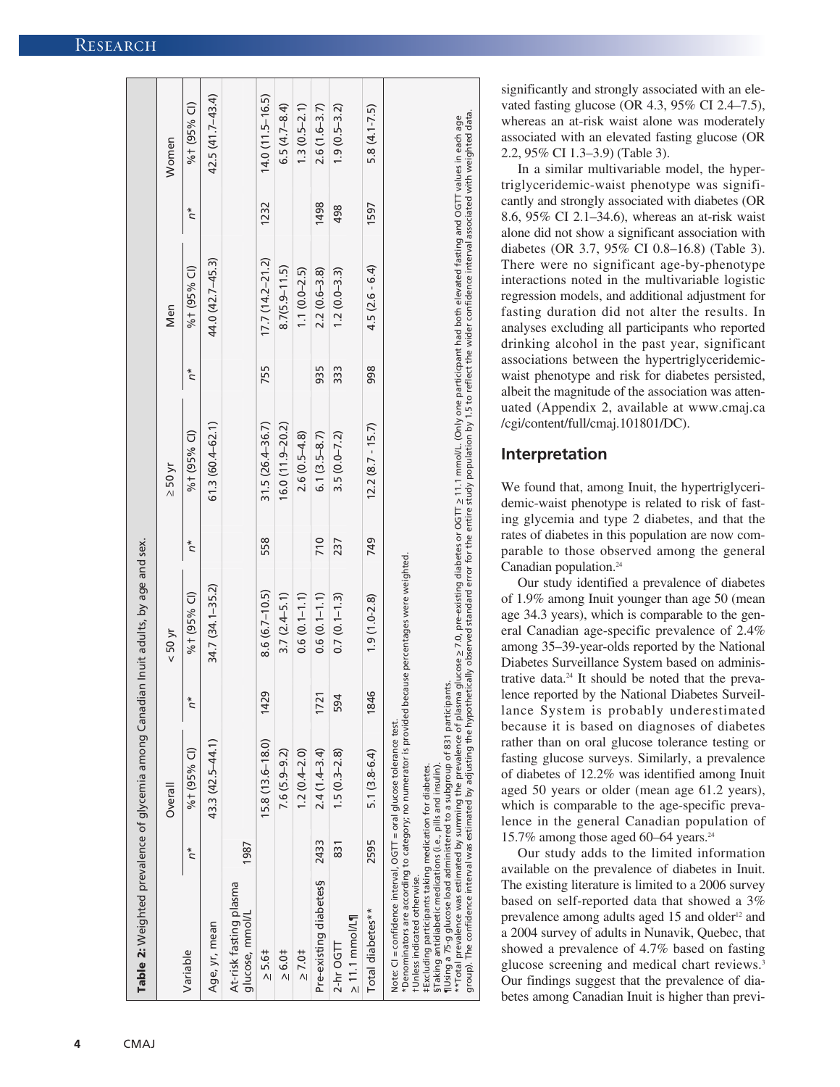|                                           |       | Overall             |       | $<$ 50 yr        |       | $\geq$ 50 yr        |       | Men                 |       | Women             |
|-------------------------------------------|-------|---------------------|-------|------------------|-------|---------------------|-------|---------------------|-------|-------------------|
| Variable                                  | $n^*$ | %t (95% CI)         | $n^*$ | %t (95% CI)      | $n^*$ | % + (95% CI)        | $n^*$ | % + (95% CI)        | $n^*$ | %t (95% CI)       |
| Age, yr, mean                             |       | 43.3 (42.5-44.1)    |       | 34.7 (34.1–35.2) |       | $61.3(60.4 - 62.1)$ |       | 44.0 (42.7-45.3)    |       | 42.5 (41.7-43.4)  |
| At-risk fasting plasma<br>glucose, mmol/L | 1987  |                     |       |                  |       |                     |       |                     |       |                   |
| $\geq$ 5.6‡                               |       | $15.8(13.6 - 18.0)$ | 1429  | $8.6(6.7-10.5)$  | 558   | $31.5(26.4 - 36.7)$ | 755   | $17.7(14.2 - 21.2)$ | 1232  | $14.0(11.5-16.5)$ |
| $\ge 6.01$                                |       | $7.6(5.9-9.2)$      |       | $3.7(2.4 - 5.1)$ |       | $16.0(11.9-20.2)$   |       | $8.7(5.9 - 11.5)$   |       | $6.5(4.7 - 8.4)$  |
| $\geq 7.0$ $\pm$                          |       | $1.2(0.4 - 2.0)$    |       | $0.6(0.1 - 1.1)$ |       | $2.6(0.5-4.8)$      |       | $1.1(0.0 - 2.5)$    |       | $1.3(0.5-2.1)$    |
| Pre-existing diabetes§                    | 2433  | $2.4(1.4-3.4)$      | 1721  | $0.6(0.1 - 1.1)$ | 710   | $6.1(3.5 - 8.7)$    | 935   | $2.2(0.6 - 3.8)$    | 1498  | $2.6(1.6-3.7)$    |
| $\geq 11.1$ mmol/L¶<br>$2-hr$ OGTT        | 831   | $1.5(0.3-2.8)$      | 594   | $0.7(0.1 - 1.3)$ | 237   | $3.5(0.0 - 7.2)$    | 333   | $1.2(0.0 - 3.3)$    | 498   | $1.9(0.5 - 3.2)$  |
| Total diabetes**                          | 2595  | 5.1 (3.8-6.4)       | 1846  | $1.9(1.0-2.8)$   | 749   | $12.2(8.7 - 15.7)$  | 998   | $4.5(2.6 - 6.4)$    | 1597  | $5.8(4.1 - 7.5)$  |

significantly and strongly associated with an elevated fasting glucose (OR 4.3, 95% CI 2.4–7.5), whereas an at-risk waist alone was moderately associated with an elevated fasting glucose (OR 2.2, 95% CI 1.3–3.9) (Table 3).

In a similar multivariable model, the hypertriglyceridemic-waist phenotype was significantly and strongly associated with diabetes (OR 8.6, 95% CI 2.1–34.6), whereas an at-risk waist alone did not show a significant association with diabetes (OR 3.7, 95% CI 0.8–16.8) (Table 3). There were no significant age-by-phenotype interactions noted in the multivariable logistic regression models, and additional adjustment for fasting duration did not alter the results. In analyses excluding all participants who reported drinking alcohol in the past year, significant associations between the hypertriglyceridemicwaist phenotype and risk for diabetes persisted, albeit the magnitude of the association was attenuated (Appendix 2, available at www.cmaj.ca /cgi/content/full/cmaj.101801/DC).

# **Interpretation**

We found that, among Inuit, the hypertriglyceridemic-waist phenotype is related to risk of fasting glycemia and type 2 diabetes, and that the rates of diabetes in this population are now comparable to those observed among the general Canadian population.<sup>24</sup>

Our study identified a prevalence of diabetes of 1.9% among Inuit younger than age 50 (mean age 34.3 years), which is comparable to the general Canadian age-specific prevalence of 2.4% among 35–39-year-olds reported by the National Diabetes Surveillance System based on administrative data.24 It should be noted that the prevalence reported by the National Diabetes Surveillance System is probably underestimated because it is based on diagnoses of diabetes rather than on oral glucose tolerance testing or fasting glucose surveys. Similarly, a prevalence of diabetes of 12.2% was identified among Inuit aged 50 years or older (mean age 61.2 years), which is comparable to the age-specific prevalence in the general Canadian population of 15.7% among those aged 60–64 years.24

Our study adds to the limited information available on the prevalence of diabetes in Inuit. The existing literature is limited to a 2006 survey based on self-reported data that showed a 3% prevalence among adults aged 15 and older<sup>12</sup> and a 2004 survey of adults in Nunavik, Quebec, that showed a prevalence of 4.7% based on fasting glucose screening and medical chart reviews. 3 Our findings suggest that the prevalence of diabetes among Canadian Inuit is higher than previ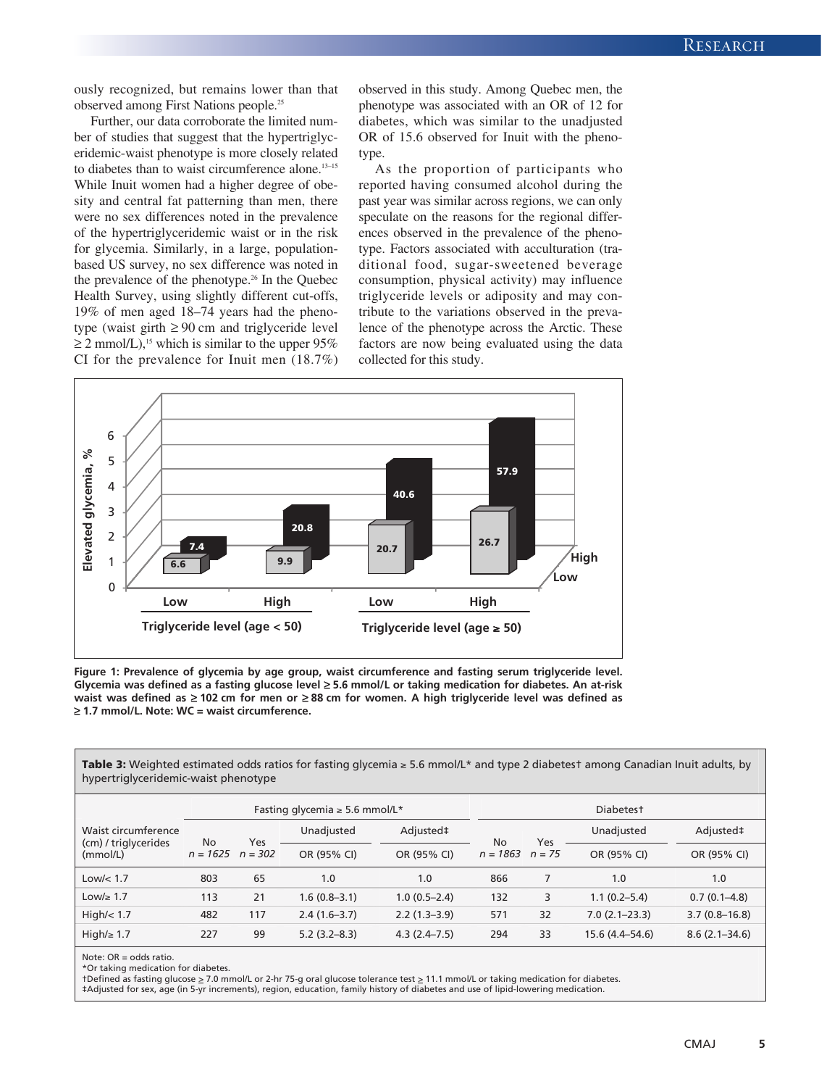ously recognized, but remains lower than that observed among First Nations people.25

Further, our data corroborate the limited number of studies that suggest that the hypertriglyceridemic-waist phenotype is more closely related to diabetes than to waist circumference alone.<sup>13-15</sup> While Inuit women had a higher degree of obesity and central fat patterning than men, there were no sex differences noted in the prevalence of the hypertriglyceridemic waist or in the risk for glycemia. Similarly, in a large, populationbased US survey, no sex difference was noted in the prevalence of the phenotype.26 In the Quebec Health Survey, using slightly different cut-offs, 19% of men aged 18–74 years had the phenotype (waist girth  $\geq 90$  cm and triglyceride level  $\geq$  2 mmol/L),<sup>15</sup> which is similar to the upper 95% CI for the prevalence for Inuit men (18.7%)

observed in this study. Among Quebec men, the phenotype was associated with an OR of 12 for diabetes, which was similar to the unadjusted OR of 15.6 observed for Inuit with the phenotype.

As the proportion of participants who reported having consumed alcohol during the past year was similar across regions, we can only speculate on the reasons for the regional differences observed in the prevalence of the phenotype. Factors associated with acculturation (traditional food, sugar-sweetened beverage consumption, physical activity) may influence triglyceride levels or adiposity and may contribute to the variations observed in the prevalence of the phenotype across the Arctic. These factors are now being evaluated using the data collected for this study.



**Figure 1: Prevalence of glycemia by age group, waist circumference and fasting serum triglyceride level. Glycemia was defined as a fasting glucose level** ≥ **5.6 mmol/L or taking medication for diabetes. An at-risk waist was defined as** ≥ **102 cm for men or** ≥ **88 cm for women. A high triglyceride level was defined as** ≥ **1.7 mmol/L. Note: WC = waist circumference.**

**Table 3:** Weighted estimated odds ratios for fasting glycemia ≥ 5.6 mmol/L\* and type 2 diabetes† among Canadian Inuit adults, by hypertriglyceridemic-waist phenotype

|                                  | Fasting glycemia $\geq$ 5.6 mmol/L* |     |                  |                  |            |          | Diabetest         |                   |  |  |  |
|----------------------------------|-------------------------------------|-----|------------------|------------------|------------|----------|-------------------|-------------------|--|--|--|
| Waist circumference              | No                                  | Yes | Unadjusted       | Adjusted‡        | <b>No</b>  | Yes      | Unadjusted        | Adjusted‡         |  |  |  |
| (cm) / triglycerides<br>(mmol/L) | $n = 1625$ $n = 302$                |     | OR (95% CI)      | OR (95% CI)      | $n = 1863$ | $n = 75$ | OR (95% CI)       | OR (95% CI)       |  |  |  |
| Low/ $<$ 1.7                     | 803                                 | 65  | 1.0              | 1.0              | 866        |          | 1.0               | 1.0               |  |  |  |
| Low/≥ 1.7                        | 113                                 | 21  | 1.6 (0.8–3.1)    | $1.0(0.5-2.4)$   | 132        | 3        | $1.1(0.2 - 5.4)$  | $0.7(0.1 - 4.8)$  |  |  |  |
| High/ $<$ 1.7                    | 482                                 | 117 | $2.4(1.6-3.7)$   | $2.2(1.3-3.9)$   | 571        | 32       | $7.0(2.1 - 23.3)$ | $3.7(0.8 - 16.8)$ |  |  |  |
| High/ $\geq 1.7$                 | 227                                 | 99  | $5.2(3.2 - 8.3)$ | $4.3(2.4 - 7.5)$ | 294        | 33       | 15.6 (4.4–54.6)   | $8.6(2.1 - 34.6)$ |  |  |  |

Note: OR = odds ratio.

\*Or taking medication for diabetes.

†Defined as fasting glucose > 7.0 mmol/L or 2-hr 75-g oral glucose tolerance test > 11.1 mmol/L or taking medication for diabetes. ‡Adjusted for sex, age (in 5-yr increments), region, education, family history of diabetes and use of lipid-lowering medication.